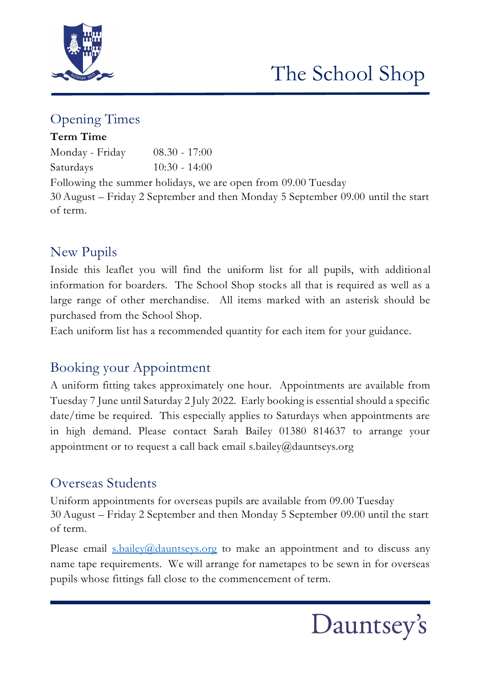

# The School Shop

### Opening Times

### **Term Time**

| Monday - Friday | $08.30 - 17:00$ |
|-----------------|-----------------|
| Saturdays       | $10:30 - 14:00$ |

Following the summer holidays, we are open from 09.00 Tuesday 30 August – Friday 2 September and then Monday 5 September 09.00 until the start of term.

### New Pupils

Inside this leaflet you will find the uniform list for all pupils, with additional information for boarders. The School Shop stocks all that is required as well as a large range of other merchandise. All items marked with an asterisk should be purchased from the School Shop.

Each uniform list has a recommended quantity for each item for your guidance.

# Booking your Appointment

A uniform fitting takes approximately one hour. Appointments are available from Tuesday 7 June until Saturday 2 July 2022. Early booking is essential should a specific date/time be required. This especially applies to Saturdays when appointments are in high demand. Please contact Sarah Bailey 01380 814637 to arrange your appointment or to request a call back email s.bailey@dauntseys.org

# Overseas Students

Uniform appointments for overseas pupils are available from 09.00 Tuesday 30 August – Friday 2 September and then Monday 5 September 09.00 until the start of term.

Please email **s**.bailey@dauntseys.org to make an appointment and to discuss any name tape requirements. We will arrange for nametapes to be sewn in for overseas pupils whose fittings fall close to the commencement of term.

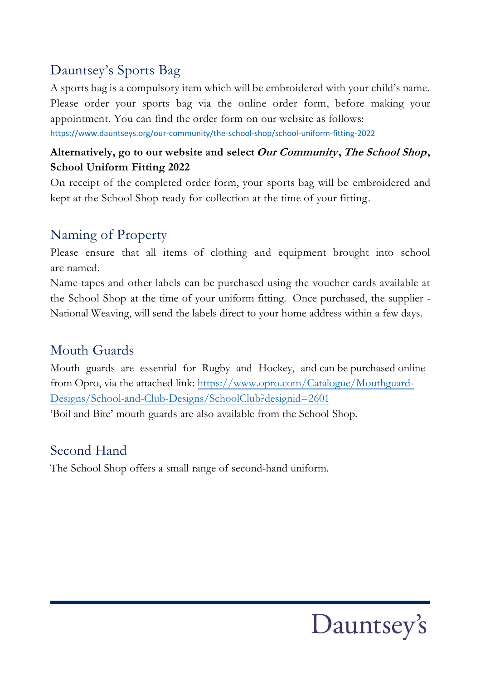# Dauntsey's Sports Bag

A sports bag is a compulsory item which will be embroidered with your child's name. Please order your sports bag via the online order form, before making your appointment. You can find the order form on our website as follows:

<https://www.dauntseys.org/our-community/the-school-shop/school-uniform-fitting-2022>

### **Alternatively, go to our website and select Our Community, The School Shop, School Uniform Fitting 2022**

On receipt of the completed order form, your sports bag will be embroidered and kept at the School Shop ready for collection at the time of your fitting.

# Naming of Property

Please ensure that all items of clothing and equipment brought into school are named.

Name tapes and other labels can be purchased using the voucher cards available at the School Shop at the time of your uniform fitting. Once purchased, the supplier - National Weaving, will send the labels direct to your home address within a few days.

# Mouth Guards

Mouth guards are essential for Rugby and Hockey, and can be purchased online from Opro, via the attached link: https://www.opro.com/Catalogue/Mouthguard-Designs/School-[and-Club-Designs/SchoolClub?designid=2601](https://www.opro.com/Catalogue/Mouthguard-Designs/School-and-Club-Designs/SchoolClub?designid=2601)  ['Boil and Bite' mouth guards are](https://www.opro.com/Catalogue/Mouthguard-Designs/School-and-Club-Designs/SchoolClub?designid=2601) also available from the School Shop.

# Second Hand

The School Shop offers a small range of second-hand uniform.

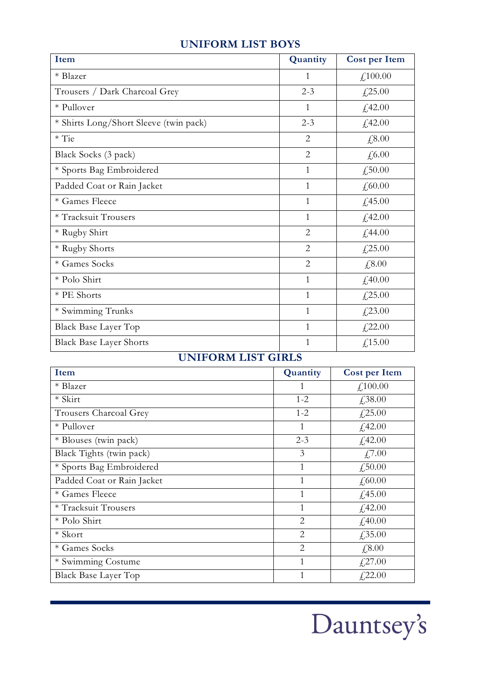#### **UNIFORM LIST BOYS**

| Item                                   | Quantity       | <b>Cost per Item</b>          |
|----------------------------------------|----------------|-------------------------------|
| * Blazer                               | $\mathbf{1}$   | $f_{\rm L}100.00$             |
| Trousers / Dark Charcoal Grey          | $2 - 3$        | £,25.00                       |
| * Pullover                             | $\mathbf{1}$   | £42.00                        |
| * Shirts Long/Short Sleeve (twin pack) | $2 - 3$        | £42.00                        |
| $*$ Tie                                | $\overline{2}$ | £,8.00                        |
| Black Socks (3 pack)                   | $\overline{2}$ | £,6.00                        |
| * Sports Bag Embroidered               | $\mathbf{1}$   | £,50.00                       |
| Padded Coat or Rain Jacket             | $\mathbf{1}$   | £,60.00                       |
| * Games Fleece                         | $\mathbf{1}$   | £,45.00                       |
| * Tracksuit Trousers                   | $\mathbf{1}$   | £42.00                        |
| * Rugby Shirt                          | $\overline{2}$ | £44.00                        |
| * Rugby Shorts                         | $\overline{2}$ | £,25.00                       |
| * Games Socks                          | $\overline{2}$ | £,8.00                        |
| * Polo Shirt                           | $\mathbf{1}$   | f,40.00                       |
| * PE Shorts                            | $\mathbf{1}$   | £,25.00                       |
| * Swimming Trunks                      | $\mathbf{1}$   | £,23.00                       |
| Black Base Layer Top                   | $\mathbf{1}$   | £,22.00                       |
| <b>Black Base Layer Shorts</b>         | $\mathbf{1}$   | $\text{\textsterling}, 15.00$ |

### **UNIFORM LIST GIRLS**

| Item                       | Quantity       | <b>Cost per Item</b> |
|----------------------------|----------------|----------------------|
| * Blazer                   | 1              | f,100.00             |
| * Skirt                    | $1 - 2$        | £38.00               |
| Trousers Charcoal Grey     | $1 - 2$        | £25.00               |
| * Pullover                 | 1              | £42.00               |
| * Blouses (twin pack)      | $2 - 3$        | f,42.00              |
| Black Tights (twin pack)   | 3              | £7.00                |
| * Sports Bag Embroidered   | $\mathbf{1}$   | £,50.00              |
| Padded Coat or Rain Jacket | 1              | f,60.00              |
| * Games Fleece             | $\mathbf{1}$   | £,45.00              |
| * Tracksuit Trousers       | 1              | f,42.00              |
| * Polo Shirt               | $\overline{2}$ | f,40.00              |
| * Skort                    | $\overline{2}$ | £35.00               |
| * Games Socks              | $\overline{2}$ | £,8.00               |
| * Swimming Costume         | 1              | £27.00               |
| Black Base Layer Top       | 1              | f,22.00              |